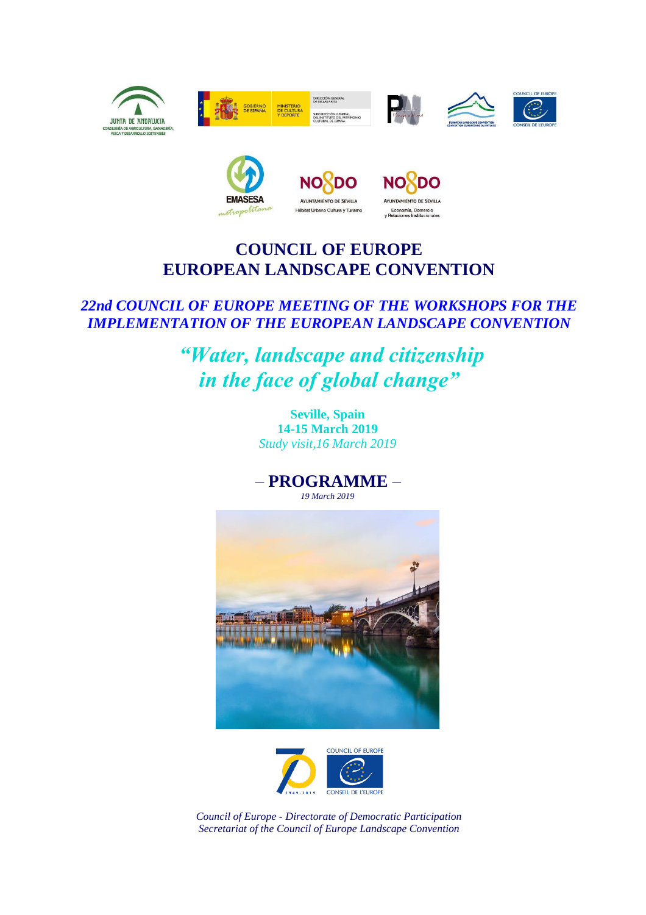



## **COUNCIL OF EUROPE EUROPEAN LANDSCAPE CONVENTION**

## *22nd COUNCIL OF EUROPE MEETING OF THE WORKSHOPS FOR THE IMPLEMENTATION OF THE EUROPEAN LANDSCAPE CONVENTION*

*"Water, landscape and citizenship in the face of global change"*

> **Seville, Spain 14-15 March 2019** *Study visit,16 March 2019*

– **PROGRAMME** – *19 March 2019*





*Council of Europe - Directorate of Democratic Participation Secretariat of the Council of Europe Landscape Convention*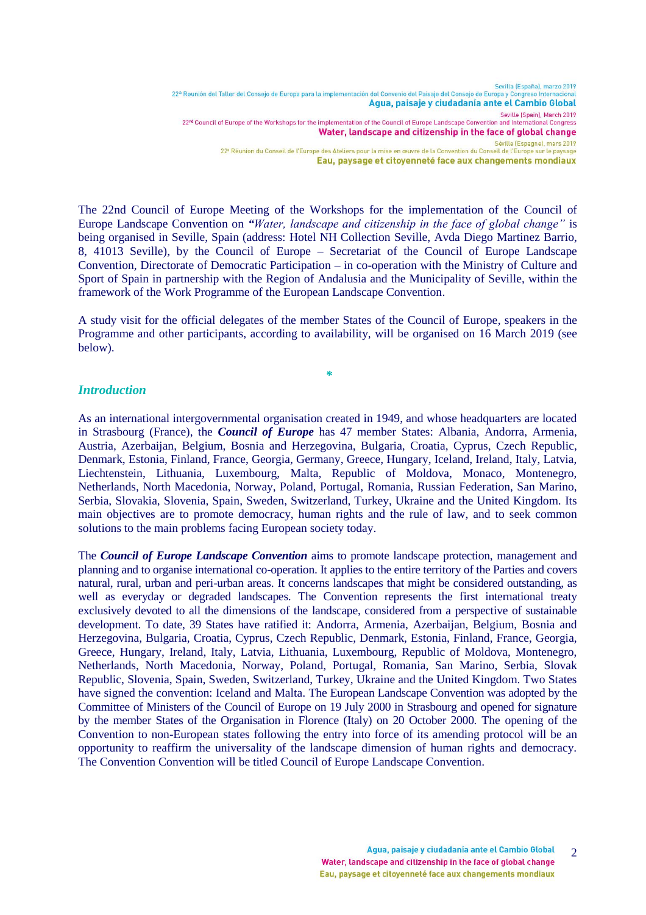Sevilla (España), marzo 2019 22ª Reunión del Taller del Consejo de Europa para la implementación del Convenio del Paisaje del Consejo de Europa y Congreso Internac Agua, paisaje y ciudadanía ante el Cambio Global Seville (Spain), March 2019 22<sup>nd</sup> Council of Europe of the Workshops for the implementation of the Council of Europe Landscape Convention and International Congress Water, landscape and citizenship in the face of global change Séville (Espagne), mars 2019 22<sup>e</sup> Réunion du Conseil de l'Europe des Ateliers pour la mise en œuvre de la Convention du Conseil de l'Europe sur le paysage Eau, paysage et citoyenneté face aux changements mondiaux

The 22nd Council of Europe Meeting of the Workshops for the implementation of the Council of Europe Landscape Convention on *"Water, landscape and citizenship in the face of global change"* is being organised in Seville, Spain (address: Hotel NH Collection Seville, Avda Diego Martinez Barrio, 8, 41013 Seville), by the Council of Europe – Secretariat of the Council of Europe Landscape Convention, Directorate of Democratic Participation – in co-operation with the Ministry of Culture and Sport of Spain in partnership with the Region of Andalusia and the Municipality of Seville, within the framework of the Work Programme of the European Landscape Convention.

A study visit for the official delegates of the member States of the Council of Europe, speakers in the Programme and other participants, according to availability, will be organised on 16 March 2019 (see below).

*\**

## *Introduction*

As an international intergovernmental organisation created in 1949, and whose headquarters are located in Strasbourg (France), the *Council of Europe* has 47 member States: Albania, Andorra, Armenia, Austria, Azerbaijan, Belgium, Bosnia and Herzegovina, Bulgaria, Croatia, Cyprus, Czech Republic, Denmark, Estonia, Finland, France, Georgia, Germany, Greece, Hungary, Iceland, Ireland, Italy, Latvia, Liechtenstein, Lithuania, Luxembourg, Malta, Republic of Moldova, Monaco, Montenegro, Netherlands, North Macedonia, Norway, Poland, Portugal, Romania, Russian Federation, San Marino, Serbia, Slovakia, Slovenia, Spain, Sweden, Switzerland, Turkey, Ukraine and the United Kingdom. Its main objectives are to promote democracy, human rights and the rule of law, and to seek common solutions to the main problems facing European society today.

The *Council of Europe Landscape Convention* aims to promote landscape protection, management and planning and to organise international co-operation. It applies to the entire territory of the Parties and covers natural, rural, urban and peri-urban areas. It concerns landscapes that might be considered outstanding, as well as everyday or degraded landscapes. The Convention represents the first international treaty exclusively devoted to all the dimensions of the landscape, considered from a perspective of sustainable development. To date, 39 States have ratified it: Andorra, Armenia, Azerbaijan, Belgium, Bosnia and Herzegovina, Bulgaria, Croatia, Cyprus, Czech Republic, Denmark, Estonia, Finland, France, Georgia, Greece, Hungary, Ireland, Italy, Latvia, Lithuania, Luxembourg, Republic of Moldova, Montenegro, Netherlands, North Macedonia, Norway, Poland, Portugal, Romania, San Marino, Serbia, Slovak Republic, Slovenia, Spain, Sweden, Switzerland, Turkey, Ukraine and the United Kingdom. Two States have signed the convention: Iceland and Malta. The European Landscape Convention was adopted by the Committee of Ministers of the Council of Europe on 19 July 2000 in Strasbourg and opened for signature by the member States of the Organisation in Florence (Italy) on 20 October 2000. The opening of the Convention to non-European states following the entry into force of its amending protocol will be an opportunity to reaffirm the universality of the landscape dimension of human rights and democracy. The Convention Convention will be titled Council of Europe Landscape Convention.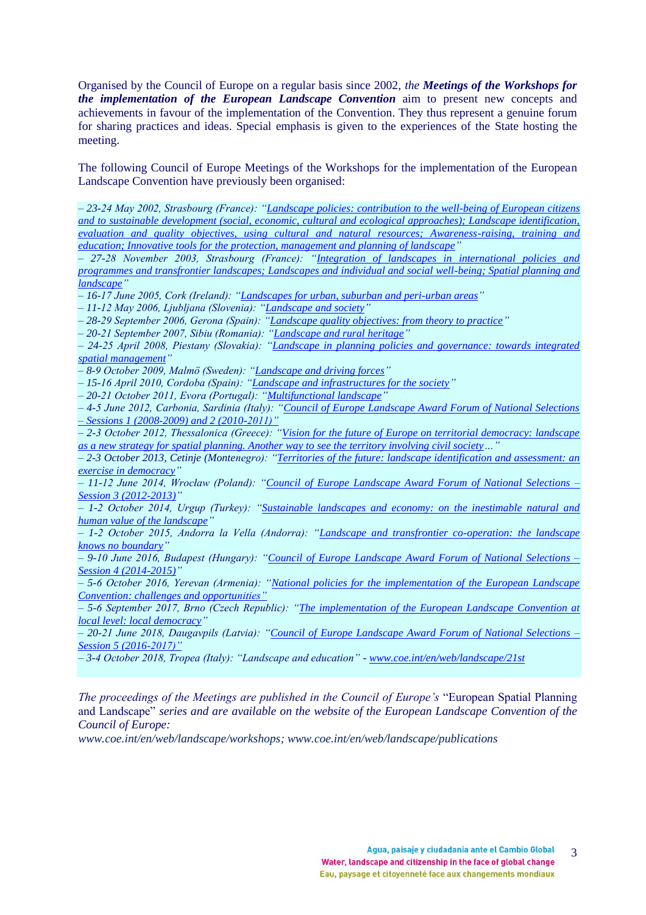Organised by the Council of Europe on a regular basis since 2002, *the Meetings of the Workshops for the implementation of the European Landscape Convention* aim to present new concepts and achievements in favour of the implementation of the Convention. They thus represent a genuine forum for sharing practices and ideas. Special emphasis is given to the experiences of the State hosting the meeting.

The following Council of Europe Meetings of the Workshops for the implementation of the European Landscape Convention have previously been organised:

*– 23-24 May 2002, Strasbourg (France): ["Landscape policies: contribution to the well-being of European citizens](https://rm.coe.int/168048950f)  [and to sustainable development \(social, economic, cultural and ecological approaches\); Landscape identification,](https://rm.coe.int/168048950f)  [evaluation and quality objectives, using cultural and natural resources; Awareness-raising, training and](https://rm.coe.int/168048950f)  [education; Innovative tools for the protection, management and planning of landscape"](https://rm.coe.int/168048950f)*

*– 27-28 November 2003, Strasbourg (France): ["Integration of landscapes in international policies and](http://rm.coe.int/168048950e)  programmes and transfrontier landscapes; Landscapes and individual and social well-being; Spatial planning and [landscape"](http://rm.coe.int/168048950e)* 

*– 16-17 June 2005, Cork (Ireland): ["Landscapes for urban, suburban and peri-urban areas"](http://rm.coe.int/1680489526)*

*– 11-12 May 2006, Ljubljana (Slovenia): ["Landscape and society"](http://rm.coe.int/1680489527)*

*– 28-29 September 2006, Gerona (Spain): ["Landscape quality objectives: from theory to practice"](http://rm.coe.int/1680489528)*

*– 20-21 September 2007, Sibiu (Romania): ["Landscape and rural](http://rm.coe.int/168048948e) heritage"*

*– 24-25 April 2008, Piestany (Slovakia): ["Landscape in planning policies and governance: towards integrated](http://rm.coe.int/168048948f)  [spatial management"](http://rm.coe.int/168048948f)*

*– 8-9 October 2009, Malmö (Sweden): ["Landscape and driving forces"](http://rm.coe.int/1680489509)*

*– 15-16 April 2010, Cordoba (Spain): ["Landscape and infrastructures for the society"](http://rm.coe.int/168048950a)*

*– 20-21 October 2011, Evora (Portugal): ["Multifunctional landscape"](http://rm.coe.int/CoERMPublicCommonSearchServices/DisplayDCTMContent?documentId=090000168048950b)*

*– 4-5 June 2012, Carbonia, Sardinia (Italy): ["Council of Europe Landscape Award Forum of National Selections](https://www.coe.int/web/landscape/eleventh-council-of-europe-meeting-of-the-workshops-for-the-implementation-of-the-european-landscape-convention)  – [Sessions 1 \(2008-2009\) and 2 \(2010-2011\)"](https://www.coe.int/web/landscape/eleventh-council-of-europe-meeting-of-the-workshops-for-the-implementation-of-the-european-landscape-convention)*

*– 2-3 October 2012, Thessalonica (Greece): ["Vision for the future of Europe on territorial democracy: landscape](http://rm.coe.int/CoERMPublicCommonSearchServices/DisplayDCTMContent?documentId=09000016806483c6)  [as a new strategy for spatial planning. Another way to see the territory involving civil society…](http://rm.coe.int/CoERMPublicCommonSearchServices/DisplayDCTMContent?documentId=09000016806483c6)"*

*– 2-3 October 2013, Cetinje (Montenegro): ["Territories of the future: landscape identification and assessment: an](http://rm.coe.int/16806f21d4)  [exercise in democracy"](http://rm.coe.int/16806f21d4)*

*– 11-12 June 2014, Wrocław (Poland): ["Council of Europe Landscape Award Forum of National Selections –](http://rm.coe.int/16806f21d6) [Session 3 \(2012-2013\)"](http://rm.coe.int/16806f21d6)*

*– 1-2 October 2014, Urgup (Turkey): ["Sustainable landscapes and economy: on the inestimable natural and](https://www.coe.int/web/landscape/15th-council-of-europe-meeting-of-the-workshops-for-the-implementation-of-the-european-landscape-convention)  [human value of the landscape"](https://www.coe.int/web/landscape/15th-council-of-europe-meeting-of-the-workshops-for-the-implementation-of-the-european-landscape-convention)* 

*– 1-2 October 2015, Andorra la Vella (Andorra): ["Landscape and transfrontier co-operation: the landscape](https://www.coe.int/web/landscape/16th-council-of-europe-meeting-of-the-workshops-for-the-implementation-of-the-european-landscape-convention)  [knows no boundary"](https://www.coe.int/web/landscape/16th-council-of-europe-meeting-of-the-workshops-for-the-implementation-of-the-european-landscape-convention)* 

*– 9-10 June 2016, Budapest (Hungary): ["Council of Europe Landscape Award Forum of National Selections –](https://www.coe.int/web/landscape/17th) [Session 4 \(2014-2015\)"](https://www.coe.int/web/landscape/17th)*

*– 5-6 October 2016, Yerevan (Armenia): ["National policies for the implementation of the European Landscape](https://www.coe.int/web/landscape/18th)  [Convention: challenges and opportunities"](https://www.coe.int/web/landscape/18th)*

*– 5-6 September 2017, Brno (Czech Republic): ["The implementation of the European Landscape Convention at](https://www.coe.int/web/landscape/19th)  [local level: local democracy"](https://www.coe.int/web/landscape/19th)*

*– 20-21 June 2018, Daugavpils (Latvia): ["Council of Europe Landscape Award Forum of National Selections –](https://www.coe.int/web/landscape/20th) [Session 5 \(2016-2017\)"](https://www.coe.int/web/landscape/20th)*

*– 3-4 October 2018, Tropea (Italy): "Landscape and education" - [www.coe.int/en/web/landscape/21st](http://www.coe.int/en/web/landscape/21st)*

*The proceedings of the Meetings are published in the Council of Europe's* "European Spatial Planning and Landscape" *series and are available on the website of the European Landscape Convention of the Council of Europe:* 

*[www.coe.int/en/web/landscape/workshops;](http://www.coe.int/en/web/landscape/workshops) [www.coe.int/en/web/landscape/publications](http://www.coe.int/en/web/landscape/publications)*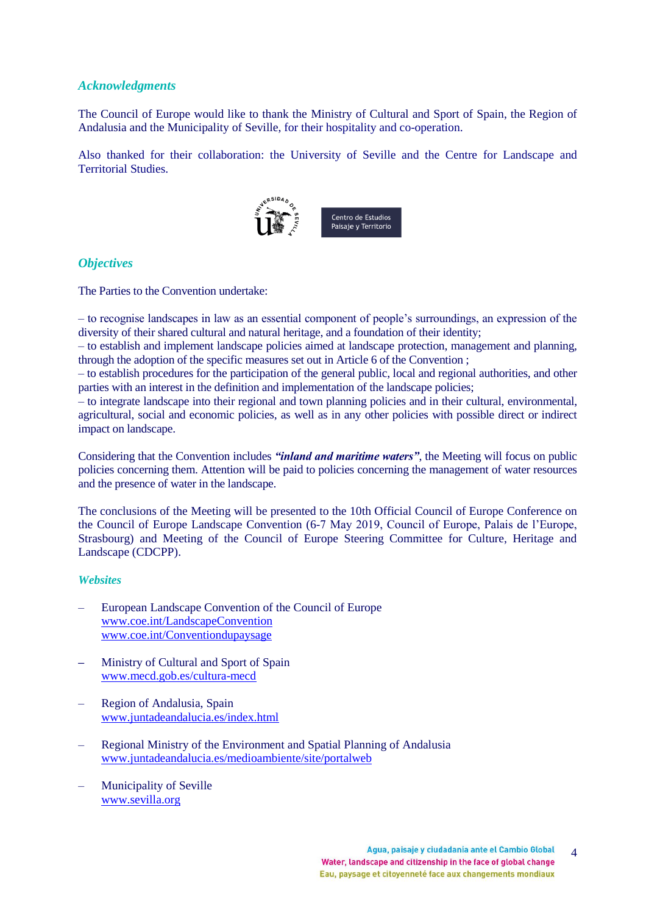## *Acknowledgments*

The Council of Europe would like to thank the Ministry of Cultural and Sport of Spain, the Region of Andalusia and the Municipality of Seville, for their hospitality and co-operation.

Also thanked for their collaboration: the University of Seville and the Centre for Landscape and Territorial Studies.



## *Objectives*

The Parties to the Convention undertake:

– to recognise landscapes in law as an essential component of people's surroundings, an expression of the diversity of their shared cultural and natural heritage, and a foundation of their identity;

– to establish and implement landscape policies aimed at landscape protection, management and planning, through the adoption of the specific measures set out in Article 6 of the Convention ;

– to establish procedures for the participation of the general public, local and regional authorities, and other parties with an interest in the definition and implementation of the landscape policies;

– to integrate landscape into their regional and town planning policies and in their cultural, environmental, agricultural, social and economic policies, as well as in any other policies with possible direct or indirect impact on landscape.

Considering that the Convention includes *"inland and maritime waters"*, the Meeting will focus on public policies concerning them. Attention will be paid to policies concerning the management of water resources and the presence of water in the landscape.

The conclusions of the Meeting will be presented to the 10th Official Council of Europe Conference on the Council of Europe Landscape Convention (6-7 May 2019, Council of Europe, Palais de l'Europe, Strasbourg) and Meeting of the Council of Europe Steering Committee for Culture, Heritage and Landscape (CDCPP).

## *Websites*

- European Landscape Convention of the Council of Europe [www.coe.int/LandscapeConvention](http://www.coe.int/LandscapeConvention) [www.coe.int/Conventiondupaysage](http://www.coe.int/Conventiondupaysage)
- **–** Ministry of Cultural and Sport of Spain [www.mecd.gob.es/cultura-mecd](http://www.mecd.gob.es/cultura-mecd/)
- Region of Andalusia, Spain [www.juntadeandalucia.es/index.html](http://www.juntadeandalucia.es/index.html)
- Regional Ministry of the Environment and Spatial Planning of Andalusia [www.juntadeandalucia.es/medioambiente/site/portalweb](http://www.juntadeandalucia.es/medioambiente/site/portalweb/)
- Municipality of Seville [www.sevilla.org](http://www.sevilla.org/)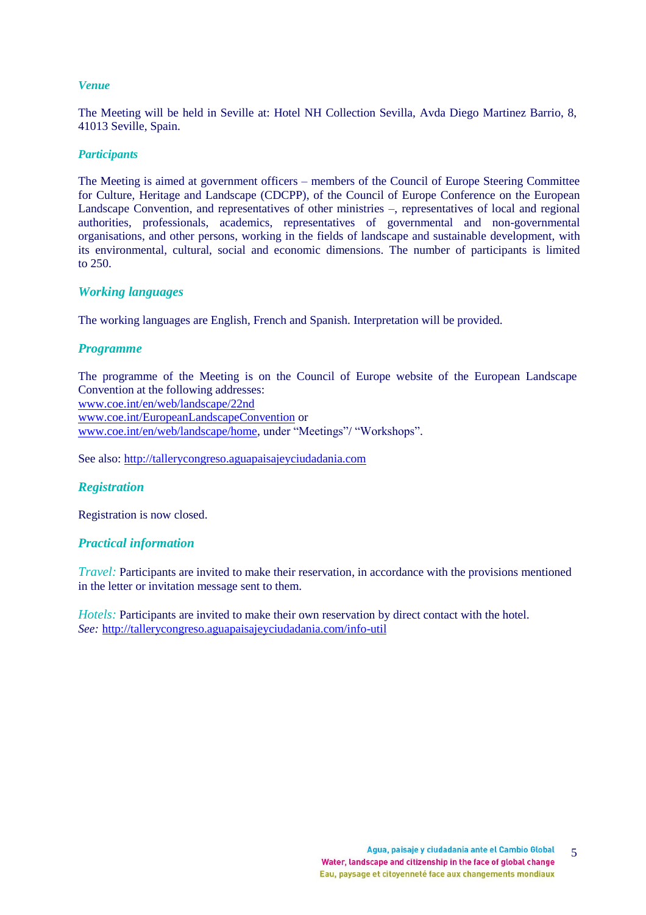## *Venue*

The Meeting will be held in Seville at: Hotel NH Collection Sevilla, Avda Diego Martinez Barrio, 8, 41013 Seville, Spain.

#### *Participants*

The Meeting is aimed at government officers – members of the Council of Europe Steering Committee for Culture, Heritage and Landscape (CDCPP), of the Council of Europe Conference on the European Landscape Convention, and representatives of other ministries –, representatives of local and regional authorities, professionals, academics, representatives of governmental and non-governmental organisations, and other persons, working in the fields of landscape and sustainable development, with its environmental, cultural, social and economic dimensions. The number of participants is limited to 250.

## *Working languages*

The working languages are English, French and Spanish. Interpretation will be provided.

## *Programme*

The programme of the Meeting is on the Council of Europe website of the European Landscape Convention at the following addresses: [www.coe.int/en/web/landscape/22nd](http://www.coe.int/en/web/landscape/22nd) [www.coe.int/EuropeanLandscapeConvention](http://www.coe.int/EuropeanLandscapeConvention) or [www.coe.int/en/web/landscape/home,](http://www.coe.int/en/web/landscape/home) under "Meetings"/ "Workshops".

See also: [http://tallerycongreso.aguapaisajeyciudadania.com](http://tallerycongreso.aguapaisajeyciudadania.com/)

## *Registration*

Registration is now closed.

#### *Practical information*

*Travel:* Participants are invited to make their reservation, in accordance with the provisions mentioned in the letter or invitation message sent to them.

*Hotels:* Participants are invited to make their own reservation by direct contact with the hotel. *See:* [http://tallerycongreso.aguapaisajeyciudadania.com/info-util](http://tallerycongreso.aguapaisajeyciudadania.com/info-util/)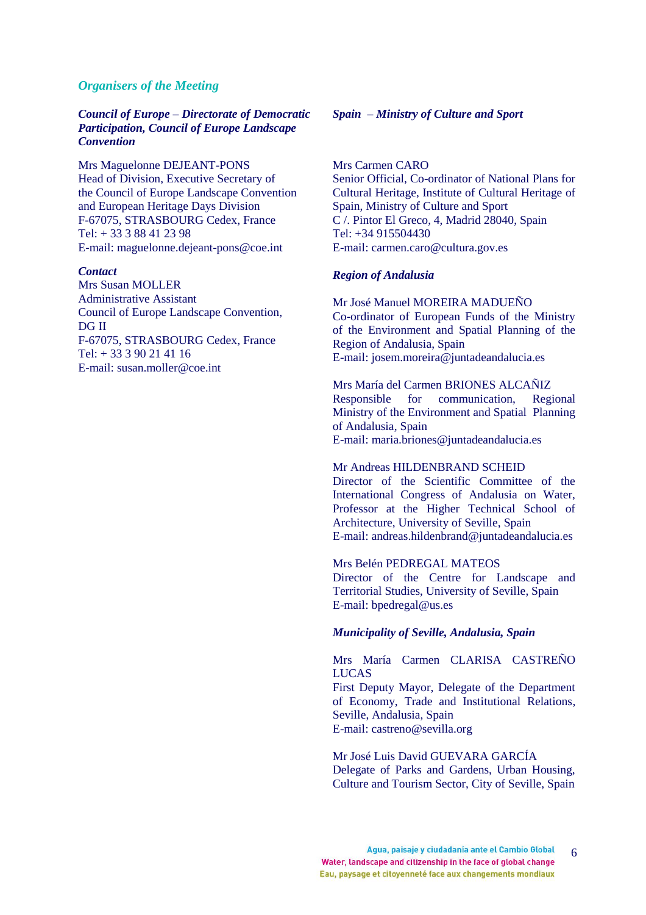### *Organisers of the Meeting*

*Council of Europe – Directorate of Democratic Participation, Council of Europe Landscape Convention*

Mrs Maguelonne DEJEANT-PONS Head of Division, Executive Secretary of the Council of Europe Landscape Convention and European Heritage Days Division F-67075, STRASBOURG Cedex, France Tel: + 33 3 88 41 23 98 E-mail[: maguelonne.dejeant-pons@coe.int](mailto:maguelonne.dejeant-pons@coe.int)

#### *Contact*

Mrs Susan MOLLER Administrative Assistant Council of Europe Landscape Convention, DG II F-67075, STRASBOURG Cedex, France Tel: + 33 3 90 21 41 16 E-mail: susan.moller@coe.int

#### *Spain – Ministry of Culture and Sport*

Mrs Carmen CARO Senior Official, Co-ordinator of National Plans for Cultural Heritage, Institute of Cultural Heritage of Spain, Ministry of Culture and Sport C /. Pintor El Greco, 4, Madrid 28040, Spain Tel: +34 915504430 E-mail: carmen.caro@cultura.gov.es

#### *Region of Andalusia*

Mr José Manuel MOREIRA MADUEÑO Co-ordinator of European Funds of the Ministry of the Environment and Spatial Planning of the Region of Andalusia, Spain E-mail: josem.moreira@juntadeandalucia.es

Mrs María del Carmen BRIONES ALCAÑIZ Responsible for communication, Regional Ministry of the Environment and Spatial Planning of Andalusia, Spain E-mail: maria.briones@juntadeandalucia.es

#### Mr Andreas HILDENBRAND SCHEID

Director of the Scientific Committee of the International Congress of Andalusia on Water, Professor at the Higher Technical School of Architecture, University of Seville, Spain E-mail: andreas.hildenbrand@juntadeandalucia.es

#### Mrs Belén PEDREGAL MATEOS

Director of the Centre for Landscape and Territorial Studies, University of Seville, Spain E-mail: bpedregal@us.es

#### *Municipality of Seville, Andalusia, Spain*

#### Mrs María Carmen CLARISA CASTREÑO LUCAS

First Deputy Mayor, Delegate of the Department of Economy, Trade and Institutional Relations, Seville, Andalusia, Spain E-mail: castreno@sevilla.org

Mr José Luis David GUEVARA GARCÍA Delegate of Parks and Gardens, Urban Housing, Culture and Tourism Sector, City of Seville, Spain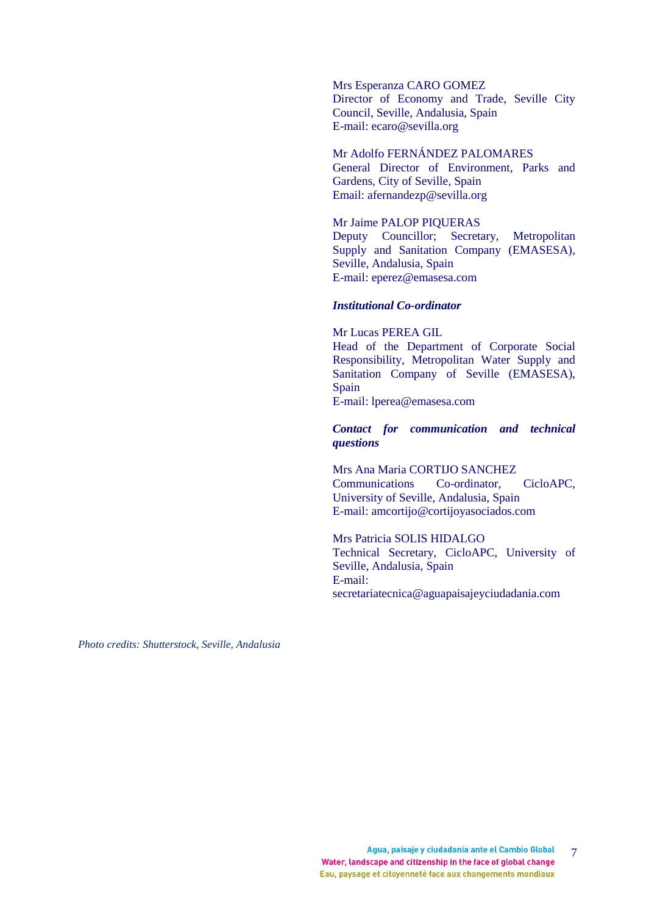Mrs Esperanza CARO GOMEZ Director of Economy and Trade, Seville City Council, Seville, Andalusia, Spain E-mail: ecaro@sevilla.org

## Mr Adolfo FERNÁNDEZ PALOMARES

General Director of Environment, Parks and Gardens, City of Seville, Spain Email: [afernandezp@sevilla.org](mailto:afernandezp@sevilla.org)

#### Mr Jaime PALOP PIQUERAS

Deputy Councillor; Secretary, Metropolitan Supply and Sanitation Company (EMASESA), Seville, Andalusia, Spain E-mail: eperez@emasesa.com

#### *Institutional Co-ordinator*

Mr Lucas PEREA GIL Head of the Department of Corporate Social Responsibility, Metropolitan Water Supply and Sanitation Company of Seville (EMASESA), Spain E-mail: lperea@emasesa.com

#### *Contact for communication and technical questions*

Mrs Ana Maria CORTIJO SANCHEZ Communications Co-ordinator, CicloAPC, University of Seville, Andalusia, Spain E-mail: amcortijo@cortijoyasociados.com

#### Mrs Patricia SOLIS HIDALGO

Technical Secretary, CicloAPC, University of Seville, Andalusia, Spain E-mail: secretariatecnica@aguapaisajeyciudadania.com

*Photo credits: Shutterstock, Seville, Andalusia*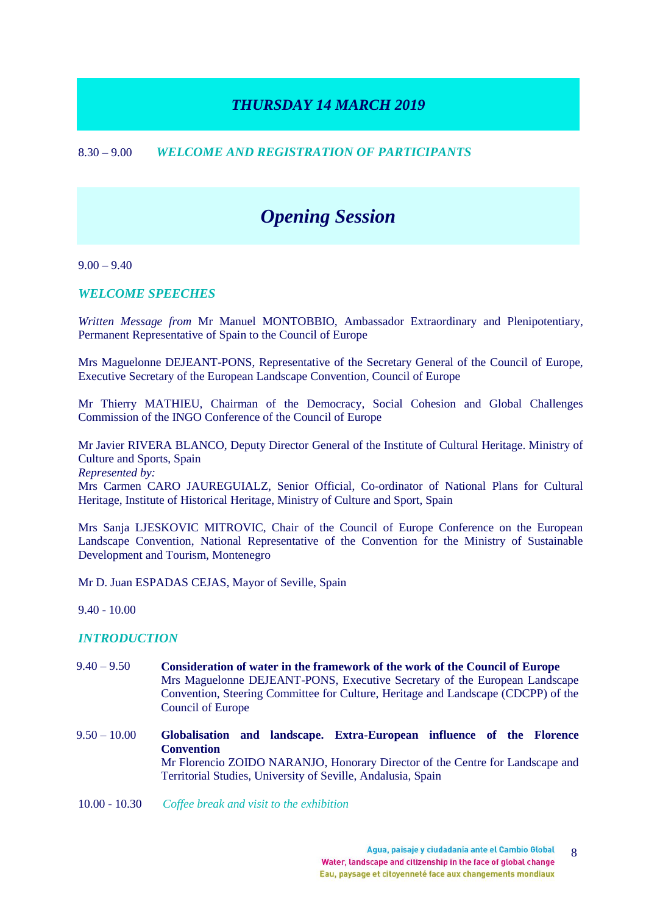## *THURSDAY 14 MARCH 2019*

## 8.30 – 9.00 *WELCOME AND REGISTRATION OF PARTICIPANTS*

# *Opening Session*

 $9.00 - 9.40$ 

## *WELCOME SPEECHES*

*Written Message from* Mr Manuel MONTOBBIO, Ambassador Extraordinary and Plenipotentiary, Permanent Representative of Spain to the Council of Europe

Mrs Maguelonne DEJEANT-PONS, Representative of the Secretary General of the Council of Europe, Executive Secretary of the European Landscape Convention, Council of Europe

Mr Thierry MATHIEU, Chairman of the Democracy, Social Cohesion and Global Challenges Commission of the INGO Conference of the Council of Europe

Mr Javier RIVERA BLANCO, Deputy Director General of the Institute of Cultural Heritage. Ministry of Culture and Sports, Spain

*Represented by:*

Mrs Carmen CARO JAUREGUIALZ, Senior Official, Co-ordinator of National Plans for Cultural Heritage, Institute of Historical Heritage, Ministry of Culture and Sport, Spain

Mrs Sanja LJESKOVIC MITROVIC, Chair of the Council of Europe Conference on the European Landscape Convention, National Representative of the Convention for the Ministry of Sustainable Development and Tourism, Montenegro

Mr D. Juan ESPADAS CEJAS, Mayor of Seville, Spain

9.40 - 10.00

## *INTRODUCTION*

- 9.40 9.50 **Consideration of water in the framework of the work of the Council of Europe** Mrs Maguelonne DEJEANT-PONS, Executive Secretary of the European Landscape Convention, Steering Committee for Culture, Heritage and Landscape (CDCPP) of the Council of Europe
- 9.50 10.00 **Globalisation and landscape. Extra-European influence of the Florence Convention** Mr Florencio ZOIDO NARANJO, Honorary Director of the Centre for Landscape and Territorial Studies, University of Seville, Andalusia, Spain
- 10.00 10.30 *Coffee break and visit to the exhibition*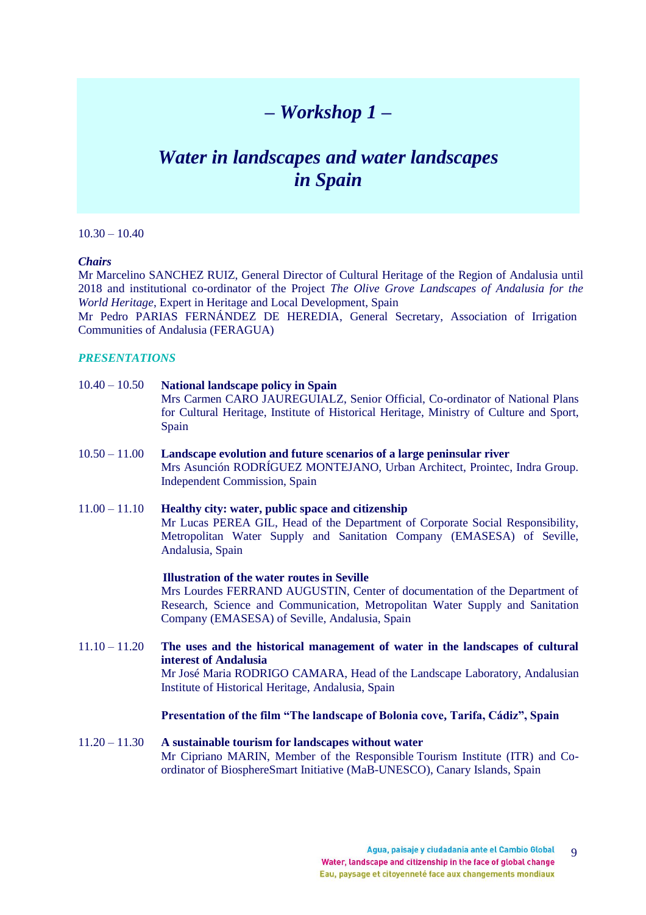# *– Workshop 1 –*

# *Water in landscapes and water landscapes in Spain*

 $10.30 - 10.40$ 

#### *Chairs*

Mr Marcelino SANCHEZ RUIZ, General Director of Cultural Heritage of the Region of Andalusia until 2018 and institutional co-ordinator of the Project *The Olive Grove Landscapes of Andalusia for the World Heritage*, Expert in Heritage and Local Development, Spain

Mr Pedro PARIAS FERNÁNDEZ DE HEREDIA, General Secretary, Association of Irrigation Communities of Andalusia (FERAGUA)

### *PRESENTATIONS*

## 10.40 – 10.50 **National landscape policy in Spain**

Mrs Carmen CARO JAUREGUIALZ, Senior Official, Co-ordinator of National Plans for Cultural Heritage, Institute of Historical Heritage, Ministry of Culture and Sport, Spain

- 10.50 11.00 **Landscape evolution and future scenarios of a large peninsular river**  Mrs Asunción RODRÍGUEZ MONTEJANO, Urban Architect, Prointec, Indra Group. Independent Commission, Spain
- 11.00 11.10 **Healthy city: water, public space and citizenship**  Mr Lucas PEREA GIL, Head of the Department of Corporate Social Responsibility, Metropolitan Water Supply and Sanitation Company (EMASESA) of Seville, Andalusia, Spain

## **Illustration of the water routes in Seville**

Mrs Lourdes FERRAND AUGUSTIN, Center of documentation of the Department of Research, Science and Communication, Metropolitan Water Supply and Sanitation Company (EMASESA) of Seville, Andalusia, Spain

11.10 – 11.20 **The uses and the historical management of water in the landscapes of cultural interest of Andalusia** Mr José Maria RODRIGO CAMARA, Head of the Landscape Laboratory, Andalusian Institute of Historical Heritage, Andalusia, Spain

#### **Presentation of the film "The landscape of Bolonia cove, Tarifa, Cádiz", Spain**

11.20 – 11.30 **A sustainable tourism for landscapes without water**  Mr Cipriano MARIN, Member of the Responsible Tourism Institute (ITR) and Coordinator of BiosphereSmart Initiative (MaB-UNESCO), Canary Islands, Spain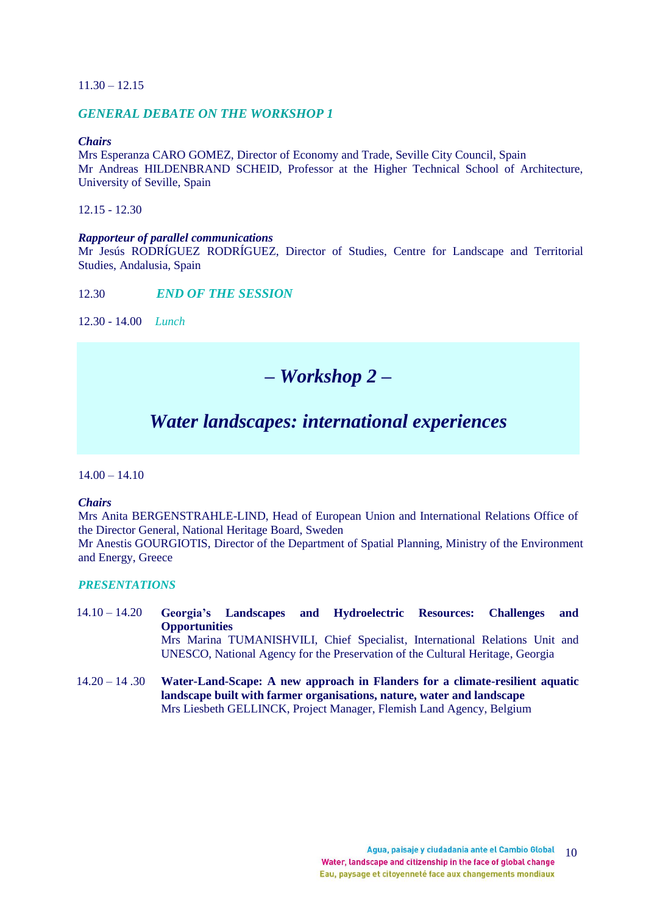### 11.30 – 12.15

## *GENERAL DEBATE ON THE WORKSHOP 1*

## *Chairs*

Mrs Esperanza CARO GOMEZ, Director of Economy and Trade, Seville City Council, Spain Mr Andreas HILDENBRAND SCHEID, Professor at the Higher Technical School of Architecture, University of Seville, Spain

12.15 - 12.30

#### *Rapporteur of parallel communications*

Mr Jesús RODRÍGUEZ RODRÍGUEZ, Director of Studies, Centre for Landscape and Territorial Studies, Andalusia, Spain

12.30 *END OF THE SESSION* 

12.30 - 14.00 *Lunch*

## *– Workshop 2 –*

## *Water landscapes: international experiences*

 $14.00 - 14.10$ 

#### *Chairs*

Mrs Anita BERGENSTRAHLE-LIND, Head of European Union and International Relations Office of the Director General, National Heritage Board, Sweden

Mr Anestis GOURGIOTIS, Director of the Department of Spatial Planning, Ministry of the Environment and Energy, Greece

#### *PRESENTATIONS*

- 14.10 14.20 **Georgia's Landscapes and Hydroelectric Resources: Challenges and Opportunities** Mrs Marina TUMANISHVILI, Chief Specialist, International Relations Unit and UNESCO, National Agency for the Preservation of the Cultural Heritage, Georgia
- 14.20 14 .30 **Water-Land-Scape: A new approach in Flanders for a climate-resilient aquatic landscape built with farmer organisations, nature, water and landscape** Mrs Liesbeth GELLINCK, Project Manager, Flemish Land Agency, Belgium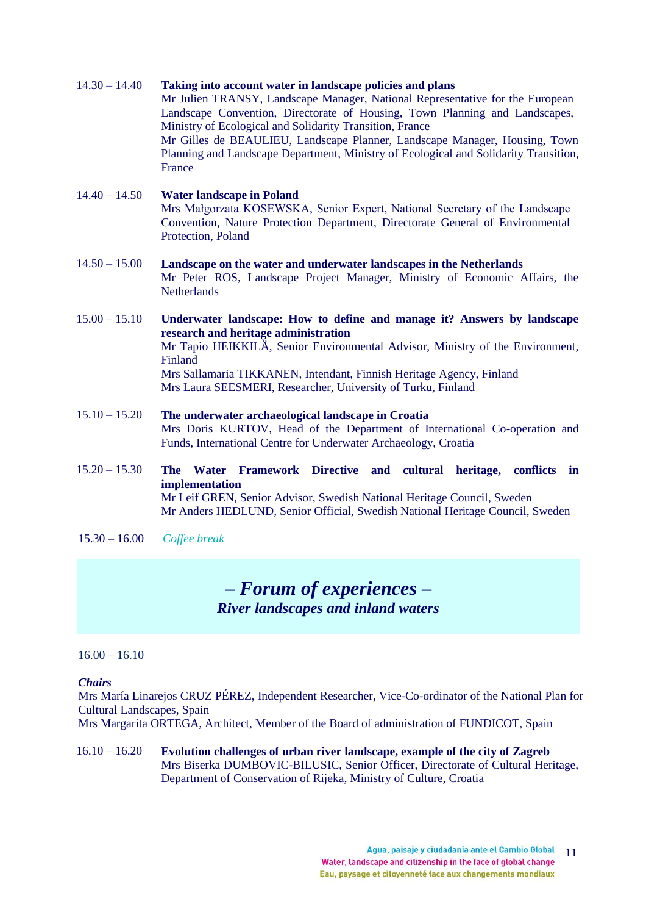#### 14.30 – 14.40 **Taking into account water in landscape policies and plans**

Mr Julien TRANSY, Landscape Manager, National Representative for the European Landscape Convention, Directorate of Housing, Town Planning and Landscapes, Ministry of Ecological and Solidarity Transition, France Mr Gilles de BEAULIEU, Landscape Planner, Landscape Manager, Housing, Town Planning and Landscape Department, Ministry of Ecological and Solidarity Transition, France

## 14.40 – 14.50 **Water landscape in Poland** Mrs Małgorzata KOSEWSKA, Senior Expert, National Secretary of the Landscape Convention, Nature Protection Department, Directorate General of Environmental Protection, Poland

## 14.50 – 15.00 **Landscape on the water and underwater landscapes in the Netherlands** Mr Peter ROS, Landscape Project Manager, Ministry of Economic Affairs, the **Netherlands**

## 15.00 – 15.10 **Underwater landscape: How to define and manage it? Answers by landscape research and heritage administration**  Mr Tapio HEIKKILÄ, Senior Environmental Advisor, Ministry of the Environment, Finland Mrs Sallamaria TIKKANEN, Intendant, Finnish Heritage Agency, Finland Mrs Laura SEESMERI, Researcher, University of Turku, Finland

15.10 – 15.20 **The underwater archaeological landscape in Croatia** Mrs Doris KURTOV, Head of the Department of International Co-operation and Funds, International Centre for Underwater Archaeology, Croatia

## 15.20 – 15.30 **The Water Framework Directive and cultural heritage, conflicts in implementation** Mr Leif GREN, Senior Advisor, Swedish National Heritage Council, Sweden Mr Anders HEDLUND, Senior Official, Swedish National Heritage Council, Sweden

15.30 – 16.00 *Coffee break*

# *– Forum of experiences – River landscapes and inland waters*

## $16.00 - 16.10$

## *Chairs*

Mrs María Linarejos CRUZ PÉREZ, Independent Researcher, Vice-Co-ordinator of the National Plan for Cultural Landscapes, Spain

Mrs Margarita ORTEGA, Architect, Member of the Board of administration of FUNDICOT, Spain

## 16.10 – 16.20 **Evolution challenges of urban river landscape, example of the city of Zagreb** Mrs Biserka DUMBOVIC-BILUSIC, Senior Officer, Directorate of Cultural Heritage, Department of Conservation of Rijeka, Ministry of Culture, Croatia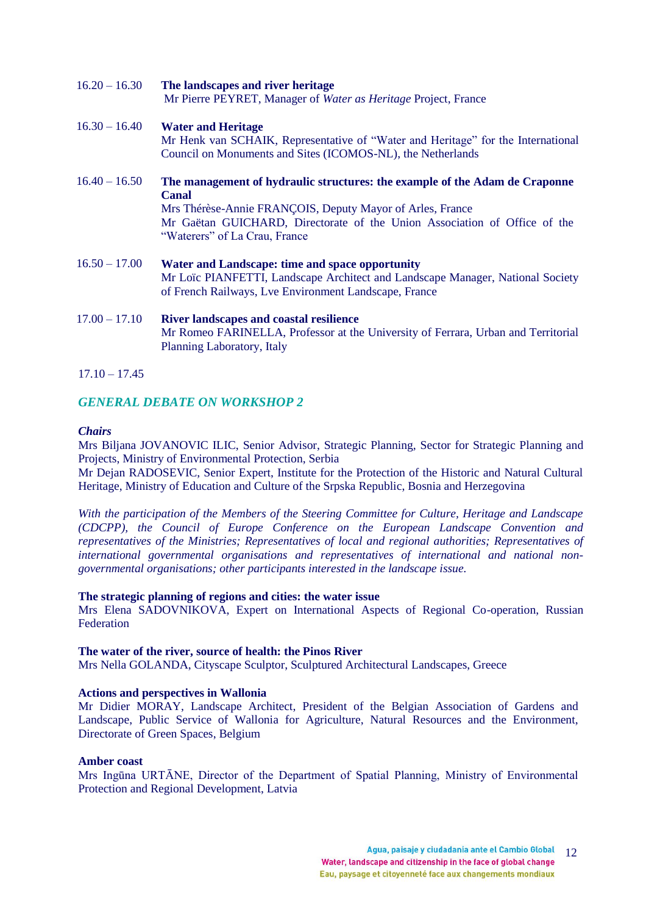| $16.20 - 16.30$ | The landscapes and river heritage<br>Mr Pierre PEYRET, Manager of Water as Heritage Project, France                                                                                                                                                                    |
|-----------------|------------------------------------------------------------------------------------------------------------------------------------------------------------------------------------------------------------------------------------------------------------------------|
| $16.30 - 16.40$ | <b>Water and Heritage</b><br>Mr Henk van SCHAIK, Representative of "Water and Heritage" for the International<br>Council on Monuments and Sites (ICOMOS-NL), the Netherlands                                                                                           |
| $16.40 - 16.50$ | The management of hydraulic structures: the example of the Adam de Craponne<br><b>Canal</b><br>Mrs Thérèse-Annie FRANÇOIS, Deputy Mayor of Arles, France<br>Mr Gaëtan GUICHARD, Directorate of the Union Association of Office of the<br>"Waterers" of La Crau, France |
| $16.50 - 17.00$ | Water and Landscape: time and space opportunity<br>Mr Loïc PIANFETTI, Landscape Architect and Landscape Manager, National Society<br>of French Railways, Lve Environment Landscape, France                                                                             |
| $17.00 - 17.10$ | <b>River landscapes and coastal resilience</b><br>Mr Romeo FARINELLA, Professor at the University of Ferrara, Urban and Territorial<br>Planning Laboratory, Italy                                                                                                      |

 $17.10 - 17.45$ 

## *GENERAL DEBATE ON WORKSHOP 2*

#### *Chairs*

Mrs Biljana JOVANOVIC ILIC, Senior Advisor, Strategic Planning, Sector for Strategic Planning and Projects, Ministry of Environmental Protection, Serbia

Mr Dejan RADOSEVIC, Senior Expert, Institute for the Protection of the Historic and Natural Cultural Heritage, Ministry of Education and Culture of the Srpska Republic, Bosnia and Herzegovina

*With the participation of the Members of the Steering Committee for Culture, Heritage and Landscape (CDCPP), the Council of Europe Conference on the European Landscape Convention and representatives of the Ministries; Representatives of local and regional authorities; Representatives of international governmental organisations and representatives of international and national nongovernmental organisations; other participants interested in the landscape issue.*

#### **The strategic planning of regions and cities: the water issue**

Mrs Elena SADOVNIKOVA, Expert on International Aspects of Regional Co-operation, Russian **Federation** 

### **The water of the river, source of health: the Pinos River**

Mrs Nella GOLANDA, Cityscape Sculptor, Sculptured Architectural Landscapes, Greece

#### **Actions and perspectives in Wallonia**

Mr Didier MORAY, Landscape Architect, President of the Belgian Association of Gardens and Landscape, Public Service of Wallonia for Agriculture, Natural Resources and the Environment, Directorate of Green Spaces, Belgium

#### **Amber coast**

Mrs Ingūna URTĀNE, Director of the Department of Spatial Planning, Ministry of Environmental Protection and Regional Development, Latvia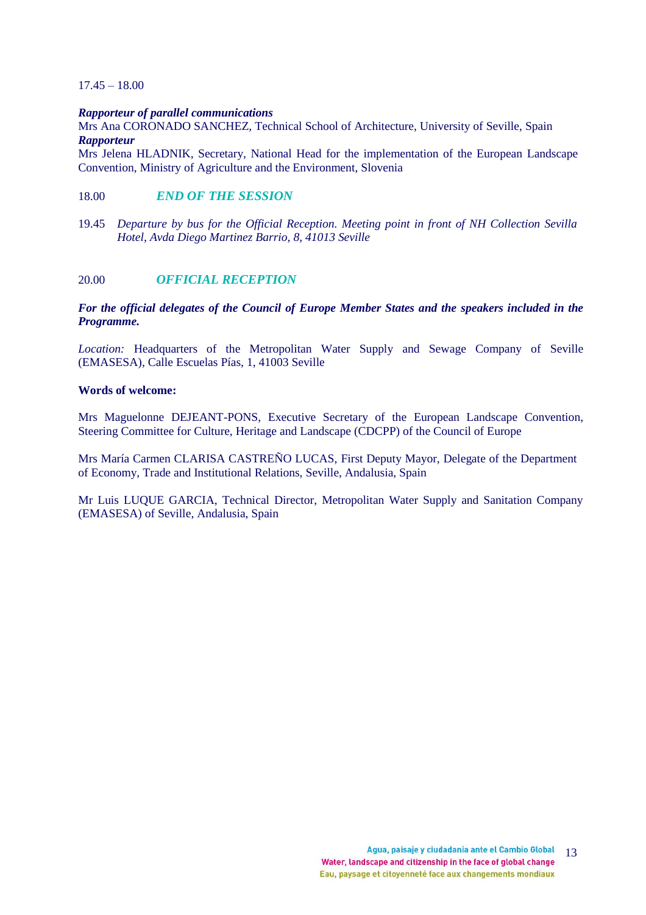### 17.45 – 18.00

#### *Rapporteur of parallel communications*

Mrs Ana CORONADO SANCHEZ, Technical School of Architecture, University of Seville, Spain *Rapporteur* 

Mrs Jelena HLADNIK, Secretary, National Head for the implementation of the European Landscape Convention, Ministry of Agriculture and the Environment, Slovenia

## 18.00 *END OF THE SESSION*

19.45 *Departure by bus for the Official Reception. Meeting point in front of NH Collection Sevilla Hotel, Avda Diego Martinez Barrio, 8, 41013 Seville*

## 20.00 *OFFICIAL RECEPTION*

#### *For the official delegates of the Council of Europe Member States and the speakers included in the Programme.*

*Location:* Headquarters of the Metropolitan Water Supply and Sewage Company of Seville (EMASESA), Calle Escuelas Pías, 1, 41003 Seville

#### **Words of welcome:**

Mrs Maguelonne DEJEANT-PONS, Executive Secretary of the European Landscape Convention, Steering Committee for Culture, Heritage and Landscape (CDCPP) of the Council of Europe

Mrs María Carmen CLARISA CASTREÑO LUCAS, First Deputy Mayor, Delegate of the Department of Economy, Trade and Institutional Relations, Seville, Andalusia, Spain

Mr Luis LUQUE GARCIA, Technical Director, Metropolitan Water Supply and Sanitation Company (EMASESA) of Seville, Andalusia, Spain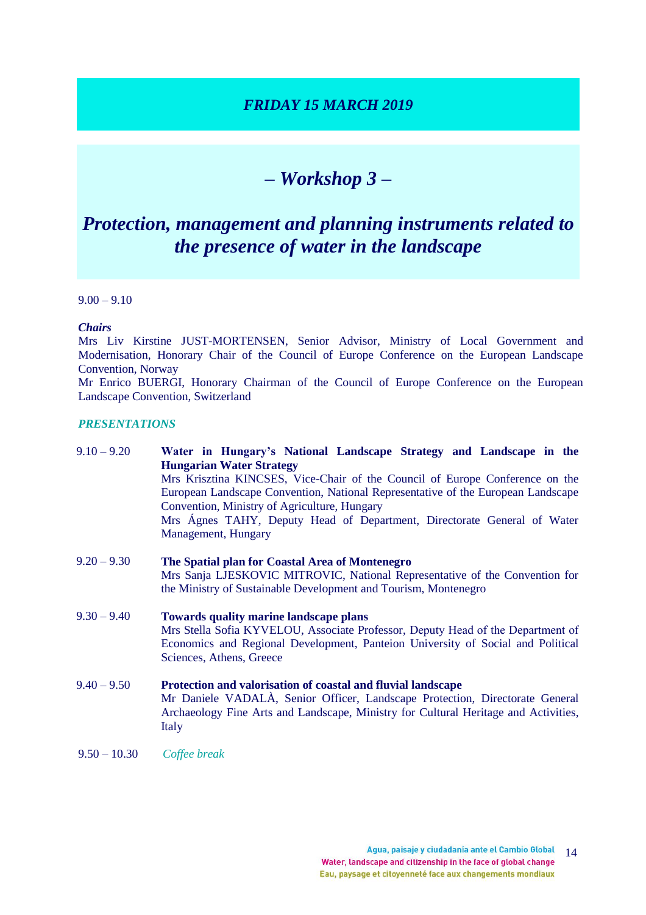## *FRIDAY 15 MARCH 2019*

# *– Workshop 3 –*

# *Protection, management and planning instruments related to the presence of water in the landscape*

 $9.00 - 9.10$ 

## *Chairs*

Mrs Liv Kirstine JUST-MORTENSEN, Senior Advisor, Ministry of Local Government and Modernisation, Honorary Chair of the Council of Europe Conference on the European Landscape Convention, Norway

Mr Enrico BUERGI, Honorary Chairman of the Council of Europe Conference on the European Landscape Convention, Switzerland

#### *PRESENTATIONS*

| $9.10 - 9.20$  | Water in Hungary's National Landscape Strategy and Landscape in the<br><b>Hungarian Water Strategy</b>                                                              |
|----------------|---------------------------------------------------------------------------------------------------------------------------------------------------------------------|
|                | Mrs Krisztina KINCSES, Vice-Chair of the Council of Europe Conference on the                                                                                        |
|                | European Landscape Convention, National Representative of the European Landscape                                                                                    |
|                | Convention, Ministry of Agriculture, Hungary                                                                                                                        |
|                | Mrs Ágnes TAHY, Deputy Head of Department, Directorate General of Water                                                                                             |
|                | Management, Hungary                                                                                                                                                 |
| $9.20 - 9.30$  | The Spatial plan for Coastal Area of Montenegro<br>Mrs Sanja LJESKOVIC MITROVIC, National Representative of the Convention for                                      |
|                | the Ministry of Sustainable Development and Tourism, Montenegro                                                                                                     |
| $9.30 - 9.40$  | <b>Towards quality marine landscape plans</b>                                                                                                                       |
|                | Mrs Stella Sofia KYVELOU, Associate Professor, Deputy Head of the Department of                                                                                     |
|                | Economics and Regional Development, Panteion University of Social and Political<br>Sciences, Athens, Greece                                                         |
| $9.40 - 9.50$  | Protection and valorisation of coastal and fluvial landscape                                                                                                        |
|                | Mr Daniele VADALÀ, Senior Officer, Landscape Protection, Directorate General<br>Archaeology Fine Arts and Landscape, Ministry for Cultural Heritage and Activities, |
|                | Italy                                                                                                                                                               |
| $9.50 - 10.30$ | Coffee break                                                                                                                                                        |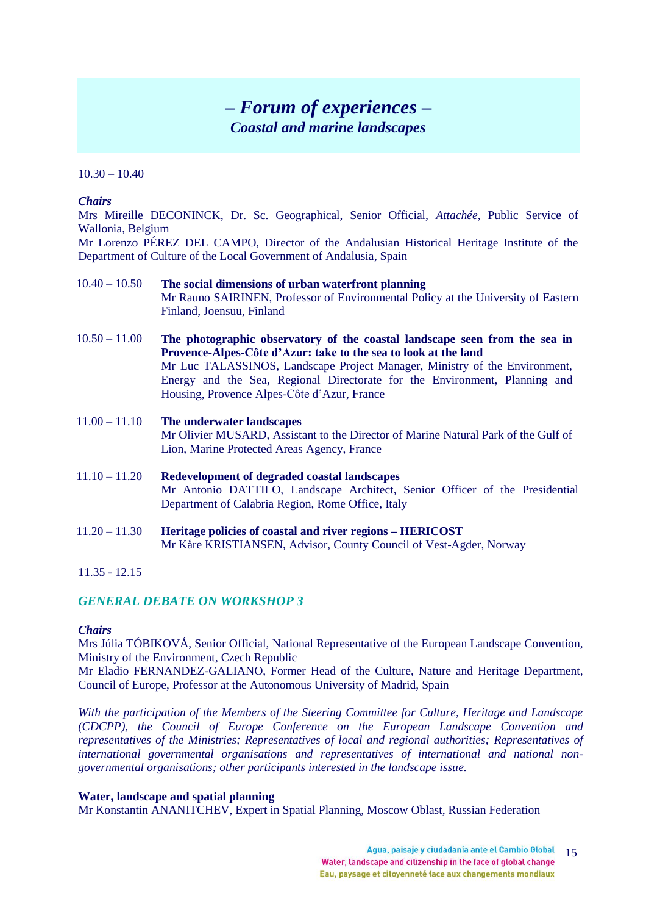## *– Forum of experiences – Coastal and marine landscapes*

### $10.30 - 10.40$

#### *Chairs*

Mrs Mireille DECONINCK, Dr. Sc. Geographical, Senior Official, *Attachée*, Public Service of Wallonia, Belgium

Mr Lorenzo PÉREZ DEL CAMPO, Director of the Andalusian Historical Heritage Institute of the Department of Culture of the Local Government of Andalusia, Spain

- 10.40 10.50 **The social dimensions of urban waterfront planning** Mr Rauno SAIRINEN, Professor of Environmental Policy at the University of Eastern Finland, Joensuu, Finland
- 10.50 11.00 **The photographic observatory of the coastal landscape seen from the sea in Provence-Alpes-Côte d'Azur: take to the sea to look at the land** Mr Luc TALASSINOS, Landscape Project Manager, Ministry of the Environment, Energy and the Sea, Regional Directorate for the Environment, Planning and Housing, Provence Alpes-Côte d'Azur, France
- 11.00 11.10 **The underwater landscapes** Mr Olivier MUSARD, Assistant to the Director of Marine Natural Park of the Gulf of Lion, Marine Protected Areas Agency, France
- 11.10 11.20 **Redevelopment of degraded coastal landscapes** Mr Antonio DATTILO, Landscape Architect, Senior Officer of the Presidential Department of Calabria Region, Rome Office, Italy
- 11.20 11.30 **Heritage policies of coastal and river regions – HERICOST** Mr Kåre KRISTIANSEN, Advisor, County Council of Vest-Agder, Norway
- 11.35 12.15

## *GENERAL DEBATE ON WORKSHOP 3*

## *Chairs*

Mrs Júlia TÓBIKOVÁ, Senior Official, National Representative of the European Landscape Convention, Ministry of the Environment, Czech Republic

Mr Eladio FERNANDEZ-GALIANO, Former Head of the Culture, Nature and Heritage Department, Council of Europe, Professor at the Autonomous University of Madrid, Spain

*With the participation of the Members of the Steering Committee for Culture, Heritage and Landscape (CDCPP), the Council of Europe Conference on the European Landscape Convention and representatives of the Ministries; Representatives of local and regional authorities; Representatives of international governmental organisations and representatives of international and national nongovernmental organisations; other participants interested in the landscape issue.*

## **Water, landscape and spatial planning**

Mr Konstantin ANANITCHEV, Expert in Spatial Planning, Moscow Oblast, Russian Federation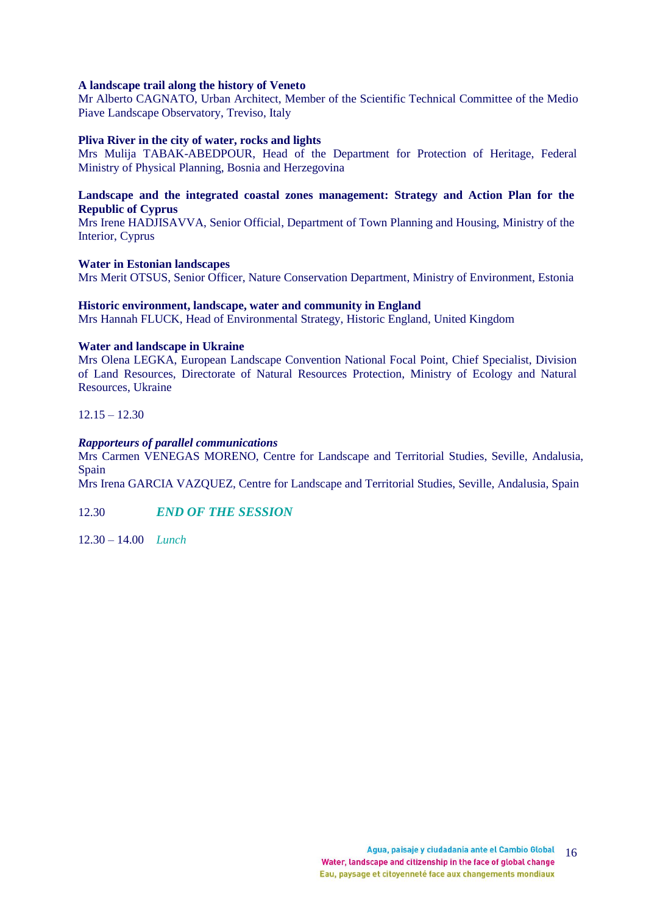#### **A landscape trail along the history of Veneto**

Mr Alberto CAGNATO, Urban Architect, Member of the Scientific Technical Committee of the Medio Piave Landscape Observatory, Treviso, Italy

#### **Pliva River in the city of water, rocks and lights**

Mrs Mulija TABAK-ABEDPOUR, Head of the Department for Protection of Heritage, Federal Ministry of Physical Planning, Bosnia and Herzegovina

## **Landscape and the integrated coastal zones management: Strategy and Action Plan for the Republic of Cyprus**

Mrs Irene HADJISAVVA, Senior Official, Department of Town Planning and Housing, Ministry of the Interior, Cyprus

#### **Water in Estonian landscapes**

Mrs Merit OTSUS, Senior Officer, Nature Conservation Department, Ministry of Environment, Estonia

#### **Historic environment, landscape, water and community in England**

Mrs Hannah FLUCK, Head of Environmental Strategy, Historic England, United Kingdom

#### **Water and landscape in Ukraine**

Mrs Olena LEGKA, European Landscape Convention National Focal Point, Chief Specialist, Division of Land Resources, Directorate of Natural Resources Protection, Ministry of Ecology and Natural Resources, Ukraine

 $12.15 - 12.30$ 

#### *Rapporteurs of parallel communications*

Mrs Carmen VENEGAS MORENO, Centre for Landscape and Territorial Studies, Seville, Andalusia, Spain

Mrs Irena GARCIA VAZQUEZ, Centre for Landscape and Territorial Studies, Seville, Andalusia, Spain

12.30 *END OF THE SESSION* 

12.30 – 14.00 *Lunch*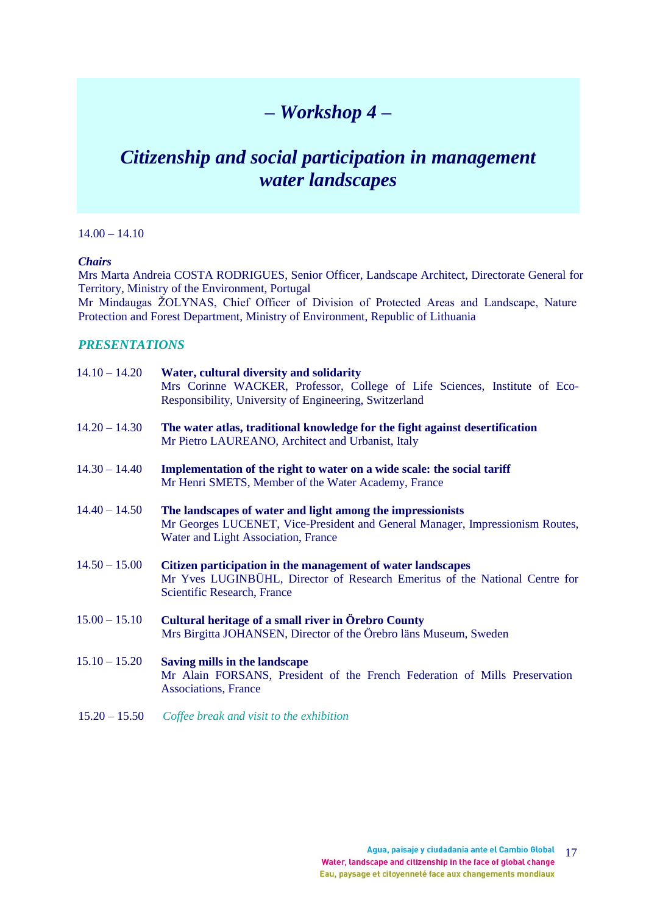# *– Workshop 4 –*

# *Citizenship and social participation in management water landscapes*

## $14.00 - 14.10$

## *Chairs*

Mrs Marta Andreia COSTA RODRIGUES, Senior Officer, Landscape Architect, Directorate General for Territory, Ministry of the Environment, Portugal Mr Mindaugas ŽOLYNAS, Chief Officer of Division of Protected Areas and Landscape, Nature

Protection and Forest Department, Ministry of Environment, Republic of Lithuania

## *PRESENTATIONS*

| $14.10 - 14.20$ | Water, cultural diversity and solidarity<br>Mrs Corinne WACKER, Professor, College of Life Sciences, Institute of Eco-<br>Responsibility, University of Engineering, Switzerland   |
|-----------------|------------------------------------------------------------------------------------------------------------------------------------------------------------------------------------|
| $14.20 - 14.30$ | The water atlas, traditional knowledge for the fight against desertification<br>Mr Pietro LAUREANO, Architect and Urbanist, Italy                                                  |
| $14.30 - 14.40$ | Implementation of the right to water on a wide scale: the social tariff<br>Mr Henri SMETS, Member of the Water Academy, France                                                     |
| $14.40 - 14.50$ | The landscapes of water and light among the impressionists<br>Mr Georges LUCENET, Vice-President and General Manager, Impressionism Routes,<br>Water and Light Association, France |
| $14.50 - 15.00$ | Citizen participation in the management of water landscapes<br>Mr Yves LUGINBÜHL, Director of Research Emeritus of the National Centre for<br>Scientific Research, France          |
| $15.00 - 15.10$ | Cultural heritage of a small river in Örebro County<br>Mrs Birgitta JOHANSEN, Director of the Örebro läns Museum, Sweden                                                           |
| $15.10 - 15.20$ | Saving mills in the landscape<br>Mr Alain FORSANS, President of the French Federation of Mills Preservation                                                                        |

Associations, France

15.20 – 15.50 *Coffee break and visit to the exhibition*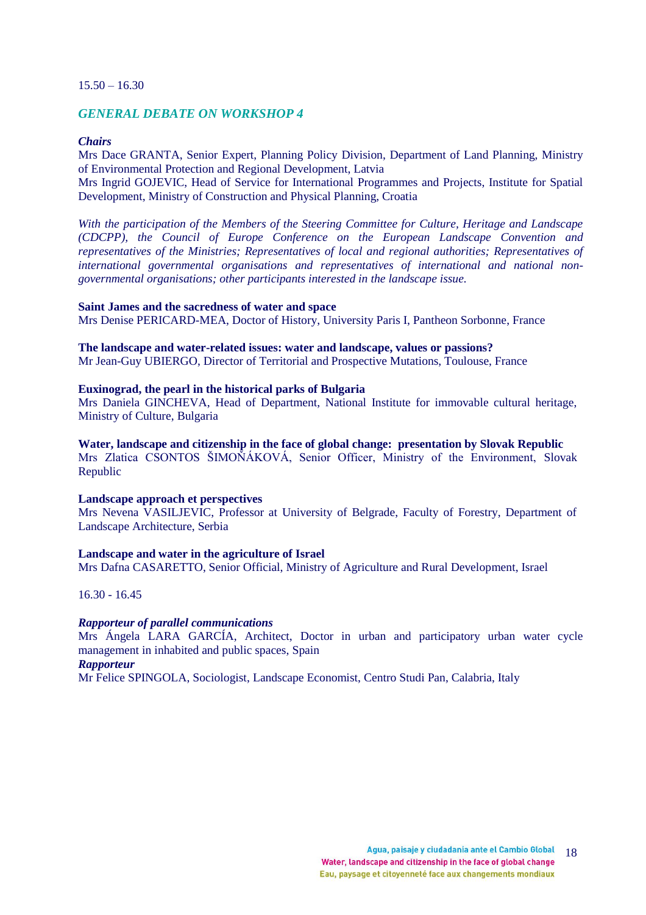#### $15.50 - 16.30$

## *GENERAL DEBATE ON WORKSHOP 4*

#### *Chairs*

Mrs Dace GRANTA, Senior Expert, Planning Policy Division, Department of Land Planning, Ministry of Environmental Protection and Regional Development, Latvia

Mrs Ingrid GOJEVIC, Head of Service for International Programmes and Projects, Institute for Spatial Development, Ministry of Construction and Physical Planning, Croatia

*With the participation of the Members of the Steering Committee for Culture, Heritage and Landscape (CDCPP), the Council of Europe Conference on the European Landscape Convention and representatives of the Ministries; Representatives of local and regional authorities; Representatives of international governmental organisations and representatives of international and national nongovernmental organisations; other participants interested in the landscape issue.*

#### **Saint James and the sacredness of water and space**

Mrs Denise PERICARD-MEA, Doctor of History, University Paris I, Pantheon Sorbonne, France

#### **The landscape and water-related issues: water and landscape, values or passions?**

Mr Jean-Guy UBIERGO, Director of Territorial and Prospective Mutations, Toulouse, France

## **Euxinograd, the pearl in the historical parks of Bulgaria**

Mrs Daniela GINCHEVA, Head of Department, National Institute for immovable cultural heritage, Ministry of Culture, Bulgaria

#### **Water, landscape and citizenship in the face of global change: presentation by Slovak Republic**

Mrs Zlatica CSONTOS ŠIMOŇÁKOVÁ, Senior Officer, Ministry of the Environment, Slovak Republic

#### **Landscape approach et perspectives**

Mrs Nevena VASILJEVIC, Professor at University of Belgrade, Faculty of Forestry, Department of Landscape Architecture, Serbia

#### **Landscape and water in the agriculture of Israel**

Mrs Dafna CASARETTO, Senior Official, Ministry of Agriculture and Rural Development, Israel

16.30 - 16.45

#### *Rapporteur of parallel communications*

Mrs Ángela LARA GARCÍA, Architect, Doctor in urban and participatory urban water cycle management in inhabited and public spaces, Spain

## *Rapporteur*

Mr Felice SPINGOLA, Sociologist, Landscape Economist, Centro Studi Pan, Calabria, Italy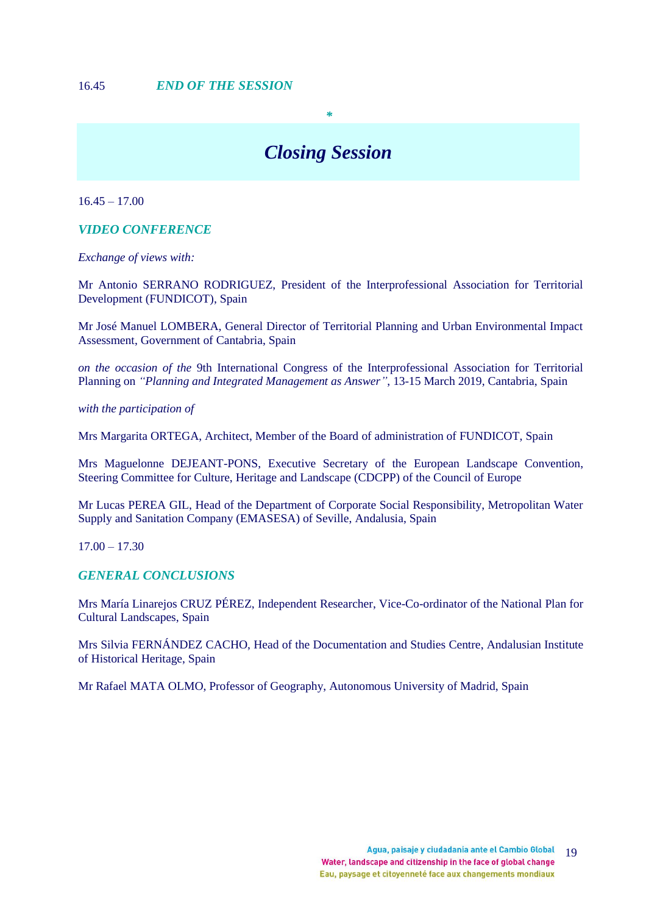# *Closing Session*

*\**

 $16.45 - 17.00$ 

*VIDEO CONFERENCE*

*Exchange of views with:*

Mr Antonio SERRANO RODRIGUEZ, President of the Interprofessional Association for Territorial Development (FUNDICOT), Spain

Mr José Manuel LOMBERA, General Director of Territorial Planning and Urban Environmental Impact Assessment, Government of Cantabria, Spain

*on the occasion of the* 9th International Congress of the Interprofessional Association for Territorial Planning on *"Planning and Integrated Management as Answer"*, 13-15 March 2019, Cantabria, Spain

*with the participation of*

Mrs Margarita ORTEGA, Architect, Member of the Board of administration of FUNDICOT, Spain

Mrs Maguelonne DEJEANT-PONS, Executive Secretary of the European Landscape Convention, Steering Committee for Culture, Heritage and Landscape (CDCPP) of the Council of Europe

Mr Lucas PEREA GIL, Head of the Department of Corporate Social Responsibility, Metropolitan Water Supply and Sanitation Company (EMASESA) of Seville, Andalusia, Spain

 $17.00 - 17.30$ 

#### *GENERAL CONCLUSIONS*

Mrs María Linarejos CRUZ PÉREZ, Independent Researcher, Vice-Co-ordinator of the National Plan for Cultural Landscapes, Spain

Mrs Silvia FERNÁNDEZ CACHO, Head of the Documentation and Studies Centre, Andalusian Institute of Historical Heritage, Spain

Mr Rafael MATA OLMO, Professor of Geography, Autonomous University of Madrid, Spain